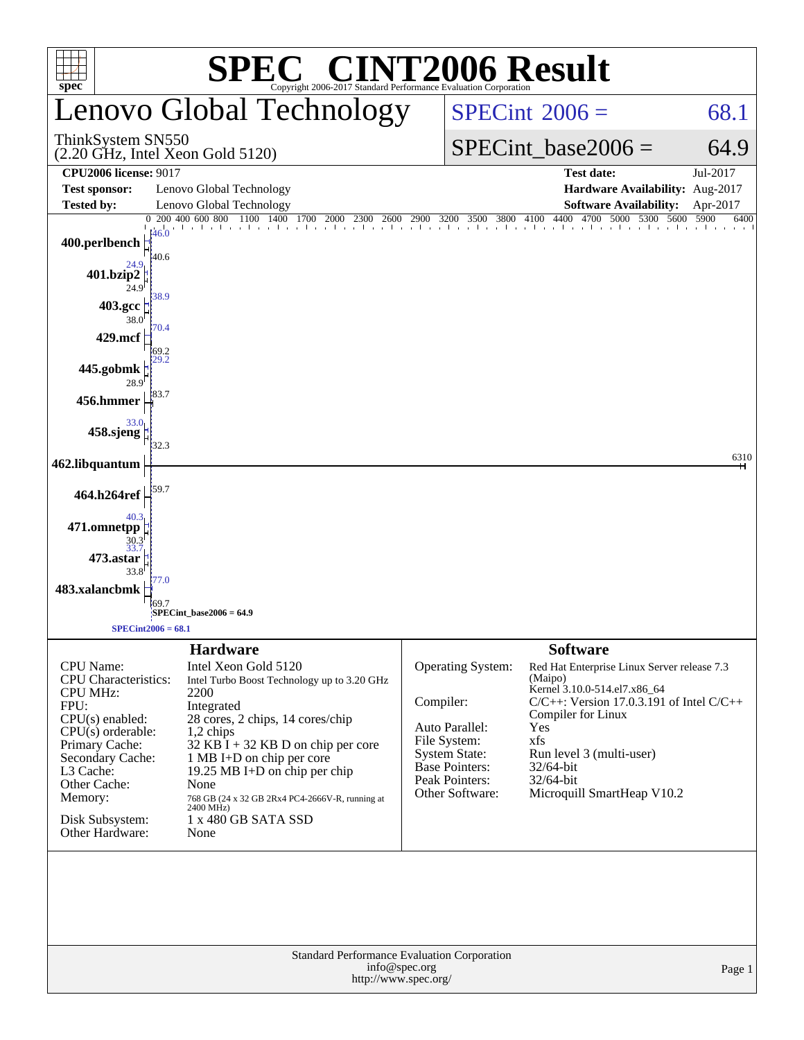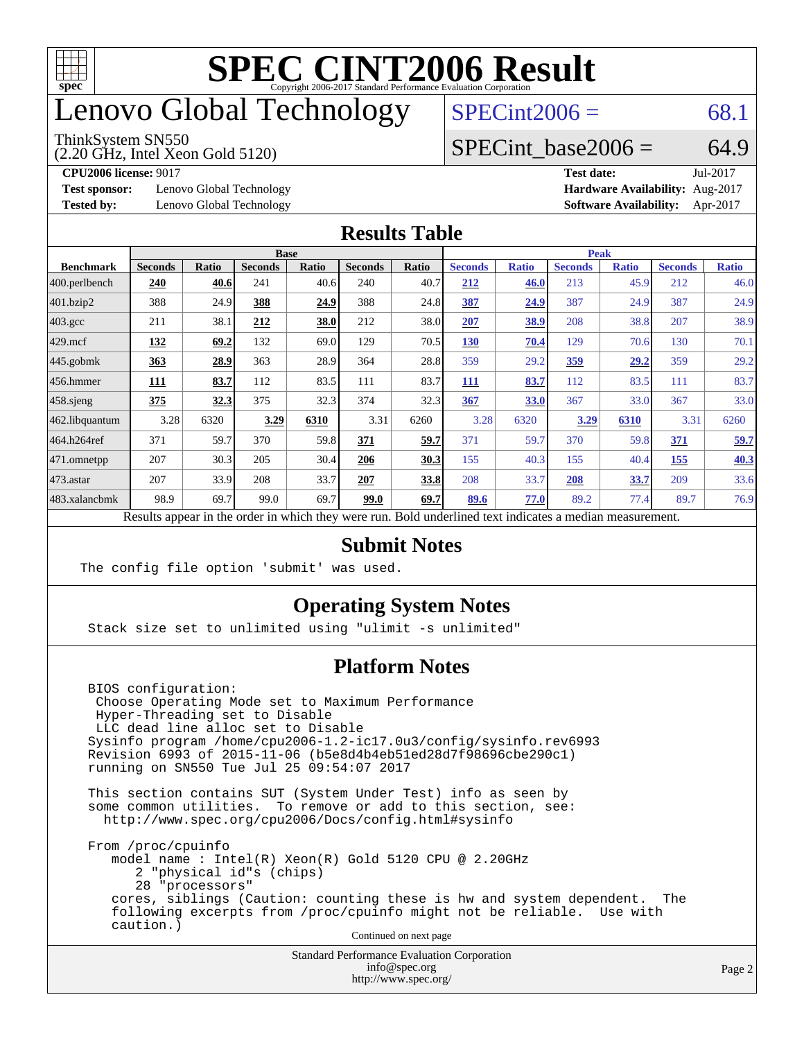

## enovo Global Technology

ThinkSystem SN550

(2.20 GHz, Intel Xeon Gold 5120)

 $SPECint2006 = 68.1$  $SPECint2006 = 68.1$ 

### SPECint base2006 =  $64.9$

**[Test sponsor:](http://www.spec.org/auto/cpu2006/Docs/result-fields.html#Testsponsor)** Lenovo Global Technology **[Hardware Availability:](http://www.spec.org/auto/cpu2006/Docs/result-fields.html#HardwareAvailability)** Aug-2017

**[CPU2006 license:](http://www.spec.org/auto/cpu2006/Docs/result-fields.html#CPU2006license)** 9017 **[Test date:](http://www.spec.org/auto/cpu2006/Docs/result-fields.html#Testdate)** Jul-2017 **[Tested by:](http://www.spec.org/auto/cpu2006/Docs/result-fields.html#Testedby)** Lenovo Global Technology **[Software Availability:](http://www.spec.org/auto/cpu2006/Docs/result-fields.html#SoftwareAvailability)** Apr-2017

#### **[Results Table](http://www.spec.org/auto/cpu2006/Docs/result-fields.html#ResultsTable)**

|                    | <b>Base</b>                                                                                              |              |                |       |                |       | <b>Peak</b>    |              |                |              |                |              |
|--------------------|----------------------------------------------------------------------------------------------------------|--------------|----------------|-------|----------------|-------|----------------|--------------|----------------|--------------|----------------|--------------|
| <b>Benchmark</b>   | <b>Seconds</b>                                                                                           | <b>Ratio</b> | <b>Seconds</b> | Ratio | <b>Seconds</b> | Ratio | <b>Seconds</b> | <b>Ratio</b> | <b>Seconds</b> | <b>Ratio</b> | <b>Seconds</b> | <b>Ratio</b> |
| 400.perlbench      | 240                                                                                                      | 40.6         | 241            | 40.6  | 240            | 40.7  | 212            | 46.0         | 213            | 45.9         | 212            | 46.0         |
| 401.bzip2          | 388                                                                                                      | 24.9         | 388            | 24.9  | 388            | 24.8  | 387            | 24.9         | 387            | 24.9         | 387            | 24.9         |
| $403.\mathrm{gcc}$ | 211                                                                                                      | 38.1         | 212            | 38.0  | 212            | 38.0  | 207            | 38.9         | 208            | 38.8         | 207            | 38.9         |
| $429$ mcf          | <u>132</u>                                                                                               | 69.2         | 132            | 69.0  | 129            | 70.5  | <b>130</b>     | 70.4         | 129            | 70.6         | 130            | 70.1         |
| $445$ .gobmk       | 363                                                                                                      | 28.9         | 363            | 28.9  | 364            | 28.8  | 359            | 29.2         | <u>359</u>     | 29,2         | 359            | 29.2         |
| $456.$ hmmer       | 111                                                                                                      | 83.7         | 112            | 83.5  | 111            | 83.7  | 111            | 83.7         | 112            | 83.5         | 111            | 83.7         |
| $458$ .sjeng       | 375                                                                                                      | 32.3         | 375            | 32.3  | 374            | 32.3  | 367            | 33.0         | 367            | 33.0         | 367            | 33.0         |
| 462.libquantum     | 3.28                                                                                                     | 6320         | 3.29           | 6310  | 3.31           | 6260  | 3.28           | 6320         | 3.29           | 6310         | 3.31           | 6260         |
| 464.h264ref        | 371                                                                                                      | 59.7         | 370            | 59.8  | 371            | 59.7  | 371            | 59.7         | 370            | 59.8         | 371            | 59.7         |
| 471.omnetpp        | 207                                                                                                      | 30.3         | 205            | 30.4  | 206            | 30.3  | 155            | 40.3         | 155            | 40.4         | 155            | 40.3         |
| 473.astar          | 207                                                                                                      | 33.9         | 208            | 33.7  | 207            | 33.8  | 208            | 33.7         | 208            | 33.7         | 209            | 33.6         |
| 483.xalancbmk      | 98.9                                                                                                     | 69.7         | 99.0           | 69.7  | 99.0           | 69.7  | 89.6           | 77.0         | 89.2           | 77.4         | 89.7           | 76.9         |
|                    | Results appear in the order in which they were run. Bold underlined text indicates a median measurement. |              |                |       |                |       |                |              |                |              |                |              |

#### **[Submit Notes](http://www.spec.org/auto/cpu2006/Docs/result-fields.html#SubmitNotes)**

The config file option 'submit' was used.

### **[Operating System Notes](http://www.spec.org/auto/cpu2006/Docs/result-fields.html#OperatingSystemNotes)**

Stack size set to unlimited using "ulimit -s unlimited"

### **[Platform Notes](http://www.spec.org/auto/cpu2006/Docs/result-fields.html#PlatformNotes)**

 BIOS configuration: Choose Operating Mode set to Maximum Performance Hyper-Threading set to Disable LLC dead line alloc set to Disable Sysinfo program /home/cpu2006-1.2-ic17.0u3/config/sysinfo.rev6993 Revision 6993 of 2015-11-06 (b5e8d4b4eb51ed28d7f98696cbe290c1) running on SN550 Tue Jul 25 09:54:07 2017

 This section contains SUT (System Under Test) info as seen by some common utilities. To remove or add to this section, see: <http://www.spec.org/cpu2006/Docs/config.html#sysinfo>

 From /proc/cpuinfo model name : Intel(R) Xeon(R) Gold 5120 CPU @ 2.20GHz 2 "physical id"s (chips) 28 "processors" cores, siblings (Caution: counting these is hw and system dependent. The following excerpts from /proc/cpuinfo might not be reliable. Use with caution.)

Continued on next page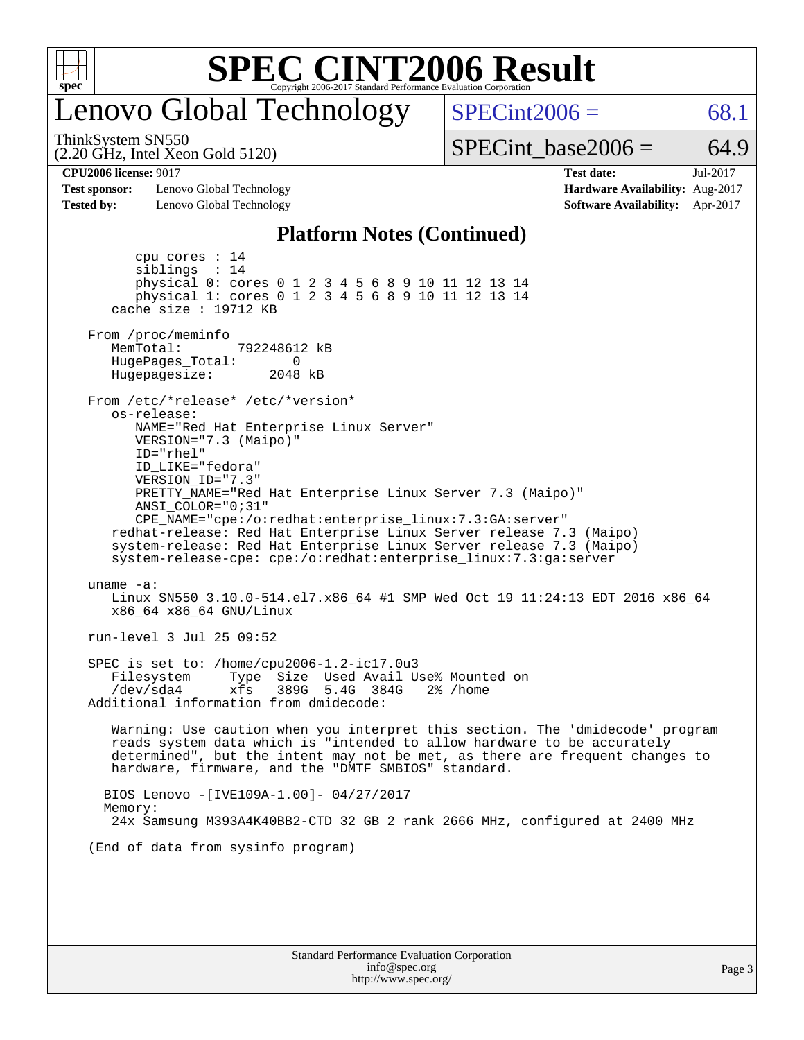

### enovo Global Technology

 $SPECint2006 = 68.1$  $SPECint2006 = 68.1$ 

ThinkSystem SN550

(2.20 GHz, Intel Xeon Gold 5120)

SPECint base2006 =  $64.9$ 

**[Test sponsor:](http://www.spec.org/auto/cpu2006/Docs/result-fields.html#Testsponsor)** Lenovo Global Technology **[Hardware Availability:](http://www.spec.org/auto/cpu2006/Docs/result-fields.html#HardwareAvailability)** Aug-2017 **[Tested by:](http://www.spec.org/auto/cpu2006/Docs/result-fields.html#Testedby)** Lenovo Global Technology **[Software Availability:](http://www.spec.org/auto/cpu2006/Docs/result-fields.html#SoftwareAvailability)** Apr-2017

**[CPU2006 license:](http://www.spec.org/auto/cpu2006/Docs/result-fields.html#CPU2006license)** 9017 **[Test date:](http://www.spec.org/auto/cpu2006/Docs/result-fields.html#Testdate)** Jul-2017

#### **[Platform Notes \(Continued\)](http://www.spec.org/auto/cpu2006/Docs/result-fields.html#PlatformNotes)**

 cpu cores : 14 siblings : 14 physical 0: cores 0 1 2 3 4 5 6 8 9 10 11 12 13 14 physical 1: cores 0 1 2 3 4 5 6 8 9 10 11 12 13 14 cache size : 19712 KB From /proc/meminfo MemTotal: 792248612 kB HugePages\_Total: 0<br>Hugepagesize: 2048 kB Hugepagesize: From /etc/\*release\* /etc/\*version\* os-release: NAME="Red Hat Enterprise Linux Server" VERSION="7.3 (Maipo)" ID="rhel" ID\_LIKE="fedora" VERSION\_ID="7.3" PRETTY\_NAME="Red Hat Enterprise Linux Server 7.3 (Maipo)" ANSI\_COLOR="0;31" CPE\_NAME="cpe:/o:redhat:enterprise\_linux:7.3:GA:server" redhat-release: Red Hat Enterprise Linux Server release 7.3 (Maipo) system-release: Red Hat Enterprise Linux Server release 7.3 (Maipo) system-release-cpe: cpe:/o:redhat:enterprise\_linux:7.3:ga:server uname -a: Linux SN550 3.10.0-514.el7.x86\_64 #1 SMP Wed Oct 19 11:24:13 EDT 2016 x86\_64 x86\_64 x86\_64 GNU/Linux run-level 3 Jul 25 09:52 SPEC is set to: /home/cpu2006-1.2-ic17.0u3 Filesystem Type Size Used Avail Use% Mounted on /dev/sda4 xfs 389G 5.4G 384G 2% /home Additional information from dmidecode: Warning: Use caution when you interpret this section. The 'dmidecode' program reads system data which is "intended to allow hardware to be accurately determined", but the intent may not be met, as there are frequent changes to hardware, firmware, and the "DMTF SMBIOS" standard. BIOS Lenovo -[IVE109A-1.00]- 04/27/2017 Memory: 24x Samsung M393A4K40BB2-CTD 32 GB 2 rank 2666 MHz, configured at 2400 MHz (End of data from sysinfo program)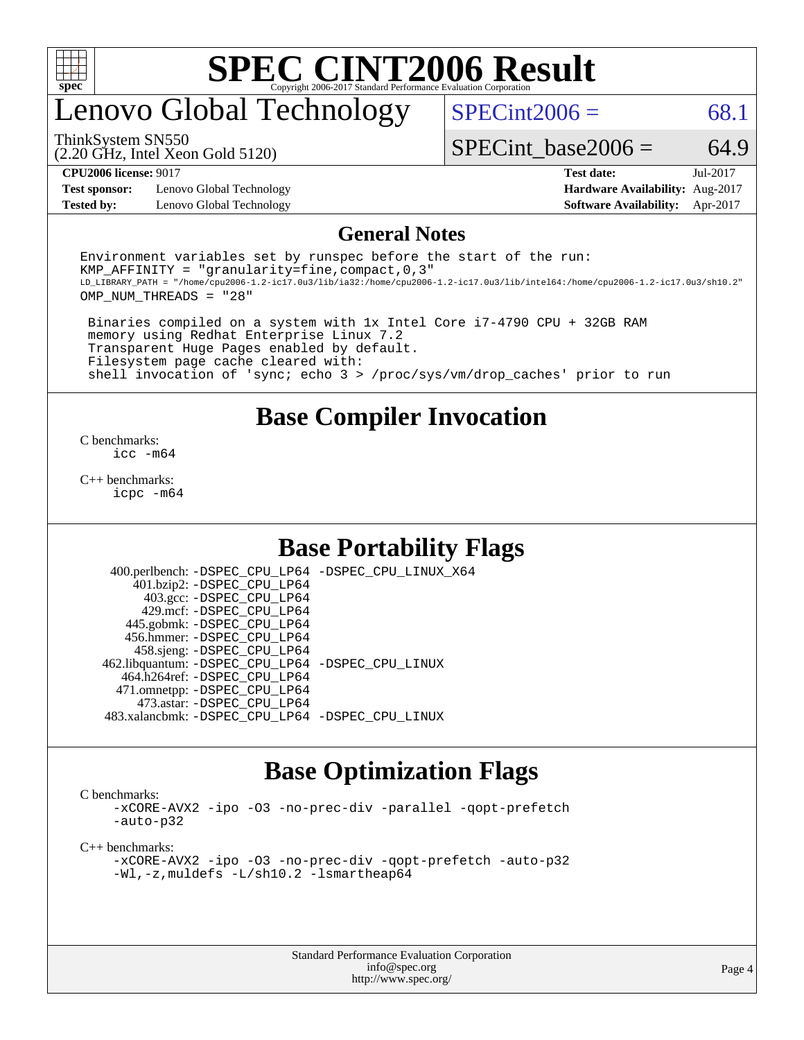

### enovo Global Technology

 $SPECint2006 = 68.1$  $SPECint2006 = 68.1$ 

(2.20 GHz, Intel Xeon Gold 5120) ThinkSystem SN550

SPECint base2006 =  $64.9$ 

**[Test sponsor:](http://www.spec.org/auto/cpu2006/Docs/result-fields.html#Testsponsor)** Lenovo Global Technology **[Hardware Availability:](http://www.spec.org/auto/cpu2006/Docs/result-fields.html#HardwareAvailability)** Aug-2017 **[Tested by:](http://www.spec.org/auto/cpu2006/Docs/result-fields.html#Testedby)** Lenovo Global Technology **[Software Availability:](http://www.spec.org/auto/cpu2006/Docs/result-fields.html#SoftwareAvailability)** Apr-2017

**[CPU2006 license:](http://www.spec.org/auto/cpu2006/Docs/result-fields.html#CPU2006license)** 9017 **[Test date:](http://www.spec.org/auto/cpu2006/Docs/result-fields.html#Testdate)** Jul-2017

#### **[General Notes](http://www.spec.org/auto/cpu2006/Docs/result-fields.html#GeneralNotes)**

Environment variables set by runspec before the start of the run: KMP AFFINITY = "granularity=fine, compact,  $0,3$ " LD\_LIBRARY\_PATH = "/home/cpu2006-1.2-ic17.0u3/lib/ia32:/home/cpu2006-1.2-ic17.0u3/lib/intel64:/home/cpu2006-1.2-ic17.0u3/sh10.2" OMP\_NUM\_THREADS = "28"

 Binaries compiled on a system with 1x Intel Core i7-4790 CPU + 32GB RAM memory using Redhat Enterprise Linux 7.2 Transparent Huge Pages enabled by default. Filesystem page cache cleared with: shell invocation of 'sync; echo 3 > /proc/sys/vm/drop\_caches' prior to run

### **[Base Compiler Invocation](http://www.spec.org/auto/cpu2006/Docs/result-fields.html#BaseCompilerInvocation)**

[C benchmarks](http://www.spec.org/auto/cpu2006/Docs/result-fields.html#Cbenchmarks): [icc -m64](http://www.spec.org/cpu2006/results/res2017q4/cpu2006-20170918-50077.flags.html#user_CCbase_intel_icc_64bit_bda6cc9af1fdbb0edc3795bac97ada53)

[C++ benchmarks:](http://www.spec.org/auto/cpu2006/Docs/result-fields.html#CXXbenchmarks) [icpc -m64](http://www.spec.org/cpu2006/results/res2017q4/cpu2006-20170918-50077.flags.html#user_CXXbase_intel_icpc_64bit_fc66a5337ce925472a5c54ad6a0de310)

### **[Base Portability Flags](http://www.spec.org/auto/cpu2006/Docs/result-fields.html#BasePortabilityFlags)**

 400.perlbench: [-DSPEC\\_CPU\\_LP64](http://www.spec.org/cpu2006/results/res2017q4/cpu2006-20170918-50077.flags.html#b400.perlbench_basePORTABILITY_DSPEC_CPU_LP64) [-DSPEC\\_CPU\\_LINUX\\_X64](http://www.spec.org/cpu2006/results/res2017q4/cpu2006-20170918-50077.flags.html#b400.perlbench_baseCPORTABILITY_DSPEC_CPU_LINUX_X64) 401.bzip2: [-DSPEC\\_CPU\\_LP64](http://www.spec.org/cpu2006/results/res2017q4/cpu2006-20170918-50077.flags.html#suite_basePORTABILITY401_bzip2_DSPEC_CPU_LP64) 403.gcc: [-DSPEC\\_CPU\\_LP64](http://www.spec.org/cpu2006/results/res2017q4/cpu2006-20170918-50077.flags.html#suite_basePORTABILITY403_gcc_DSPEC_CPU_LP64) 429.mcf: [-DSPEC\\_CPU\\_LP64](http://www.spec.org/cpu2006/results/res2017q4/cpu2006-20170918-50077.flags.html#suite_basePORTABILITY429_mcf_DSPEC_CPU_LP64) 445.gobmk: [-DSPEC\\_CPU\\_LP64](http://www.spec.org/cpu2006/results/res2017q4/cpu2006-20170918-50077.flags.html#suite_basePORTABILITY445_gobmk_DSPEC_CPU_LP64) 456.hmmer: [-DSPEC\\_CPU\\_LP64](http://www.spec.org/cpu2006/results/res2017q4/cpu2006-20170918-50077.flags.html#suite_basePORTABILITY456_hmmer_DSPEC_CPU_LP64) 458.sjeng: [-DSPEC\\_CPU\\_LP64](http://www.spec.org/cpu2006/results/res2017q4/cpu2006-20170918-50077.flags.html#suite_basePORTABILITY458_sjeng_DSPEC_CPU_LP64) 462.libquantum: [-DSPEC\\_CPU\\_LP64](http://www.spec.org/cpu2006/results/res2017q4/cpu2006-20170918-50077.flags.html#suite_basePORTABILITY462_libquantum_DSPEC_CPU_LP64) [-DSPEC\\_CPU\\_LINUX](http://www.spec.org/cpu2006/results/res2017q4/cpu2006-20170918-50077.flags.html#b462.libquantum_baseCPORTABILITY_DSPEC_CPU_LINUX) 464.h264ref: [-DSPEC\\_CPU\\_LP64](http://www.spec.org/cpu2006/results/res2017q4/cpu2006-20170918-50077.flags.html#suite_basePORTABILITY464_h264ref_DSPEC_CPU_LP64) 471.omnetpp: [-DSPEC\\_CPU\\_LP64](http://www.spec.org/cpu2006/results/res2017q4/cpu2006-20170918-50077.flags.html#suite_basePORTABILITY471_omnetpp_DSPEC_CPU_LP64) 473.astar: [-DSPEC\\_CPU\\_LP64](http://www.spec.org/cpu2006/results/res2017q4/cpu2006-20170918-50077.flags.html#suite_basePORTABILITY473_astar_DSPEC_CPU_LP64) 483.xalancbmk: [-DSPEC\\_CPU\\_LP64](http://www.spec.org/cpu2006/results/res2017q4/cpu2006-20170918-50077.flags.html#suite_basePORTABILITY483_xalancbmk_DSPEC_CPU_LP64) [-DSPEC\\_CPU\\_LINUX](http://www.spec.org/cpu2006/results/res2017q4/cpu2006-20170918-50077.flags.html#b483.xalancbmk_baseCXXPORTABILITY_DSPEC_CPU_LINUX)

### **[Base Optimization Flags](http://www.spec.org/auto/cpu2006/Docs/result-fields.html#BaseOptimizationFlags)**

[C benchmarks](http://www.spec.org/auto/cpu2006/Docs/result-fields.html#Cbenchmarks):

[-xCORE-AVX2](http://www.spec.org/cpu2006/results/res2017q4/cpu2006-20170918-50077.flags.html#user_CCbase_f-xCORE-AVX2) [-ipo](http://www.spec.org/cpu2006/results/res2017q4/cpu2006-20170918-50077.flags.html#user_CCbase_f-ipo) [-O3](http://www.spec.org/cpu2006/results/res2017q4/cpu2006-20170918-50077.flags.html#user_CCbase_f-O3) [-no-prec-div](http://www.spec.org/cpu2006/results/res2017q4/cpu2006-20170918-50077.flags.html#user_CCbase_f-no-prec-div) [-parallel](http://www.spec.org/cpu2006/results/res2017q4/cpu2006-20170918-50077.flags.html#user_CCbase_f-parallel) [-qopt-prefetch](http://www.spec.org/cpu2006/results/res2017q4/cpu2006-20170918-50077.flags.html#user_CCbase_f-qopt-prefetch) [-auto-p32](http://www.spec.org/cpu2006/results/res2017q4/cpu2006-20170918-50077.flags.html#user_CCbase_f-auto-p32)

[C++ benchmarks:](http://www.spec.org/auto/cpu2006/Docs/result-fields.html#CXXbenchmarks)

[-xCORE-AVX2](http://www.spec.org/cpu2006/results/res2017q4/cpu2006-20170918-50077.flags.html#user_CXXbase_f-xCORE-AVX2) [-ipo](http://www.spec.org/cpu2006/results/res2017q4/cpu2006-20170918-50077.flags.html#user_CXXbase_f-ipo) [-O3](http://www.spec.org/cpu2006/results/res2017q4/cpu2006-20170918-50077.flags.html#user_CXXbase_f-O3) [-no-prec-div](http://www.spec.org/cpu2006/results/res2017q4/cpu2006-20170918-50077.flags.html#user_CXXbase_f-no-prec-div) [-qopt-prefetch](http://www.spec.org/cpu2006/results/res2017q4/cpu2006-20170918-50077.flags.html#user_CXXbase_f-qopt-prefetch) [-auto-p32](http://www.spec.org/cpu2006/results/res2017q4/cpu2006-20170918-50077.flags.html#user_CXXbase_f-auto-p32) [-Wl,-z,muldefs](http://www.spec.org/cpu2006/results/res2017q4/cpu2006-20170918-50077.flags.html#user_CXXbase_link_force_multiple1_74079c344b956b9658436fd1b6dd3a8a) [-L/sh10.2 -lsmartheap64](http://www.spec.org/cpu2006/results/res2017q4/cpu2006-20170918-50077.flags.html#user_CXXbase_SmartHeap64_63911d860fc08c15fa1d5bf319b9d8d5)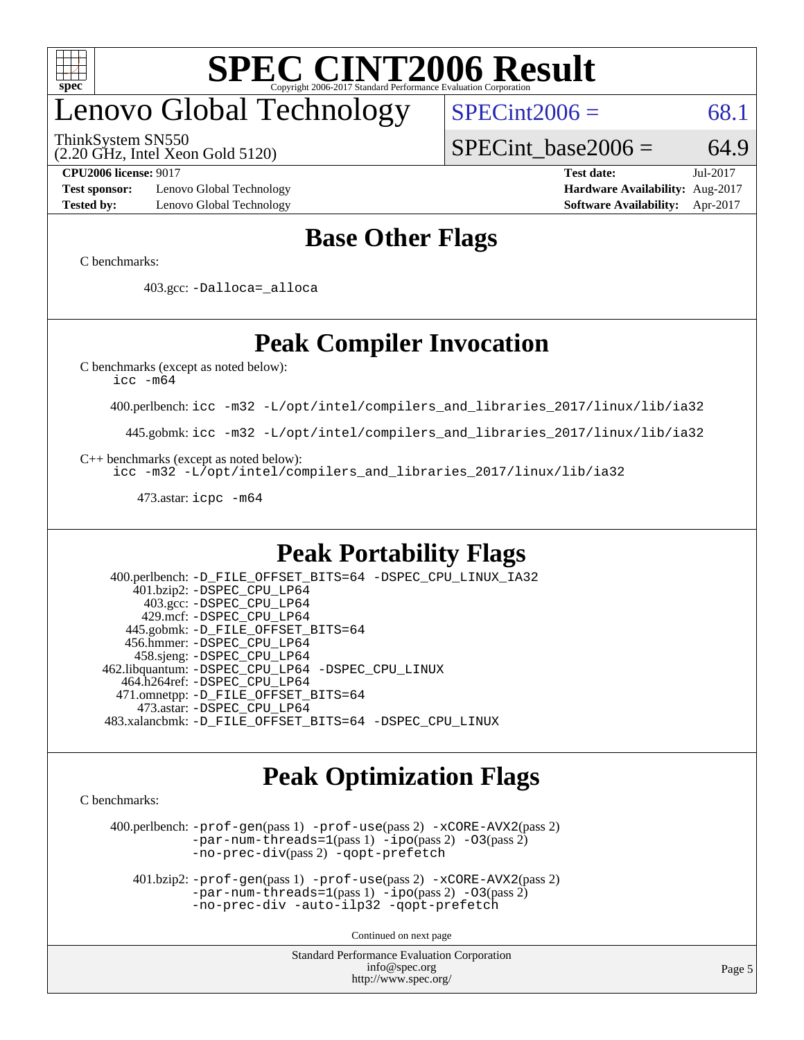

# enovo Global Technology

ThinkSystem SN550

(2.20 GHz, Intel Xeon Gold 5120)

 $SPECint2006 = 68.1$  $SPECint2006 = 68.1$ 

SPECint base2006 =  $64.9$ 

**[Test sponsor:](http://www.spec.org/auto/cpu2006/Docs/result-fields.html#Testsponsor)** Lenovo Global Technology **[Hardware Availability:](http://www.spec.org/auto/cpu2006/Docs/result-fields.html#HardwareAvailability)** Aug-2017 **[Tested by:](http://www.spec.org/auto/cpu2006/Docs/result-fields.html#Testedby)** Lenovo Global Technology **[Software Availability:](http://www.spec.org/auto/cpu2006/Docs/result-fields.html#SoftwareAvailability)** Apr-2017

**[CPU2006 license:](http://www.spec.org/auto/cpu2006/Docs/result-fields.html#CPU2006license)** 9017 **[Test date:](http://www.spec.org/auto/cpu2006/Docs/result-fields.html#Testdate)** Jul-2017

### **[Base Other Flags](http://www.spec.org/auto/cpu2006/Docs/result-fields.html#BaseOtherFlags)**

[C benchmarks](http://www.spec.org/auto/cpu2006/Docs/result-fields.html#Cbenchmarks):

403.gcc: [-Dalloca=\\_alloca](http://www.spec.org/cpu2006/results/res2017q4/cpu2006-20170918-50077.flags.html#b403.gcc_baseEXTRA_CFLAGS_Dalloca_be3056838c12de2578596ca5467af7f3)

### **[Peak Compiler Invocation](http://www.spec.org/auto/cpu2006/Docs/result-fields.html#PeakCompilerInvocation)**

[C benchmarks \(except as noted below\)](http://www.spec.org/auto/cpu2006/Docs/result-fields.html#Cbenchmarksexceptasnotedbelow):

[icc -m64](http://www.spec.org/cpu2006/results/res2017q4/cpu2006-20170918-50077.flags.html#user_CCpeak_intel_icc_64bit_bda6cc9af1fdbb0edc3795bac97ada53)

400.perlbench: [icc -m32 -L/opt/intel/compilers\\_and\\_libraries\\_2017/linux/lib/ia32](http://www.spec.org/cpu2006/results/res2017q4/cpu2006-20170918-50077.flags.html#user_peakCCLD400_perlbench_intel_icc_c29f3ff5a7ed067b11e4ec10a03f03ae)

445.gobmk: [icc -m32 -L/opt/intel/compilers\\_and\\_libraries\\_2017/linux/lib/ia32](http://www.spec.org/cpu2006/results/res2017q4/cpu2006-20170918-50077.flags.html#user_peakCCLD445_gobmk_intel_icc_c29f3ff5a7ed067b11e4ec10a03f03ae)

[C++ benchmarks \(except as noted below\):](http://www.spec.org/auto/cpu2006/Docs/result-fields.html#CXXbenchmarksexceptasnotedbelow)

[icc -m32 -L/opt/intel/compilers\\_and\\_libraries\\_2017/linux/lib/ia32](http://www.spec.org/cpu2006/results/res2017q4/cpu2006-20170918-50077.flags.html#user_CXXpeak_intel_icc_c29f3ff5a7ed067b11e4ec10a03f03ae)

473.astar: [icpc -m64](http://www.spec.org/cpu2006/results/res2017q4/cpu2006-20170918-50077.flags.html#user_peakCXXLD473_astar_intel_icpc_64bit_fc66a5337ce925472a5c54ad6a0de310)

### **[Peak Portability Flags](http://www.spec.org/auto/cpu2006/Docs/result-fields.html#PeakPortabilityFlags)**

 400.perlbench: [-D\\_FILE\\_OFFSET\\_BITS=64](http://www.spec.org/cpu2006/results/res2017q4/cpu2006-20170918-50077.flags.html#user_peakPORTABILITY400_perlbench_file_offset_bits_64_438cf9856305ebd76870a2c6dc2689ab) [-DSPEC\\_CPU\\_LINUX\\_IA32](http://www.spec.org/cpu2006/results/res2017q4/cpu2006-20170918-50077.flags.html#b400.perlbench_peakCPORTABILITY_DSPEC_CPU_LINUX_IA32) 401.bzip2: [-DSPEC\\_CPU\\_LP64](http://www.spec.org/cpu2006/results/res2017q4/cpu2006-20170918-50077.flags.html#suite_peakPORTABILITY401_bzip2_DSPEC_CPU_LP64) 403.gcc: [-DSPEC\\_CPU\\_LP64](http://www.spec.org/cpu2006/results/res2017q4/cpu2006-20170918-50077.flags.html#suite_peakPORTABILITY403_gcc_DSPEC_CPU_LP64) 429.mcf: [-DSPEC\\_CPU\\_LP64](http://www.spec.org/cpu2006/results/res2017q4/cpu2006-20170918-50077.flags.html#suite_peakPORTABILITY429_mcf_DSPEC_CPU_LP64) 445.gobmk: [-D\\_FILE\\_OFFSET\\_BITS=64](http://www.spec.org/cpu2006/results/res2017q4/cpu2006-20170918-50077.flags.html#user_peakPORTABILITY445_gobmk_file_offset_bits_64_438cf9856305ebd76870a2c6dc2689ab) 456.hmmer: [-DSPEC\\_CPU\\_LP64](http://www.spec.org/cpu2006/results/res2017q4/cpu2006-20170918-50077.flags.html#suite_peakPORTABILITY456_hmmer_DSPEC_CPU_LP64) 458.sjeng: [-DSPEC\\_CPU\\_LP64](http://www.spec.org/cpu2006/results/res2017q4/cpu2006-20170918-50077.flags.html#suite_peakPORTABILITY458_sjeng_DSPEC_CPU_LP64) 462.libquantum: [-DSPEC\\_CPU\\_LP64](http://www.spec.org/cpu2006/results/res2017q4/cpu2006-20170918-50077.flags.html#suite_peakPORTABILITY462_libquantum_DSPEC_CPU_LP64) [-DSPEC\\_CPU\\_LINUX](http://www.spec.org/cpu2006/results/res2017q4/cpu2006-20170918-50077.flags.html#b462.libquantum_peakCPORTABILITY_DSPEC_CPU_LINUX) 464.h264ref: [-DSPEC\\_CPU\\_LP64](http://www.spec.org/cpu2006/results/res2017q4/cpu2006-20170918-50077.flags.html#suite_peakPORTABILITY464_h264ref_DSPEC_CPU_LP64) 471.omnetpp: [-D\\_FILE\\_OFFSET\\_BITS=64](http://www.spec.org/cpu2006/results/res2017q4/cpu2006-20170918-50077.flags.html#user_peakPORTABILITY471_omnetpp_file_offset_bits_64_438cf9856305ebd76870a2c6dc2689ab) 473.astar: [-DSPEC\\_CPU\\_LP64](http://www.spec.org/cpu2006/results/res2017q4/cpu2006-20170918-50077.flags.html#suite_peakPORTABILITY473_astar_DSPEC_CPU_LP64) 483.xalancbmk: [-D\\_FILE\\_OFFSET\\_BITS=64](http://www.spec.org/cpu2006/results/res2017q4/cpu2006-20170918-50077.flags.html#user_peakPORTABILITY483_xalancbmk_file_offset_bits_64_438cf9856305ebd76870a2c6dc2689ab) [-DSPEC\\_CPU\\_LINUX](http://www.spec.org/cpu2006/results/res2017q4/cpu2006-20170918-50077.flags.html#b483.xalancbmk_peakCXXPORTABILITY_DSPEC_CPU_LINUX)

### **[Peak Optimization Flags](http://www.spec.org/auto/cpu2006/Docs/result-fields.html#PeakOptimizationFlags)**

[C benchmarks](http://www.spec.org/auto/cpu2006/Docs/result-fields.html#Cbenchmarks):

 400.perlbench: [-prof-gen](http://www.spec.org/cpu2006/results/res2017q4/cpu2006-20170918-50077.flags.html#user_peakPASS1_CFLAGSPASS1_LDCFLAGS400_perlbench_prof_gen_e43856698f6ca7b7e442dfd80e94a8fc)(pass 1) [-prof-use](http://www.spec.org/cpu2006/results/res2017q4/cpu2006-20170918-50077.flags.html#user_peakPASS2_CFLAGSPASS2_LDCFLAGS400_perlbench_prof_use_bccf7792157ff70d64e32fe3e1250b55)(pass 2) [-xCORE-AVX2](http://www.spec.org/cpu2006/results/res2017q4/cpu2006-20170918-50077.flags.html#user_peakPASS2_CFLAGSPASS2_LDCFLAGS400_perlbench_f-xCORE-AVX2)(pass 2) [-par-num-threads=1](http://www.spec.org/cpu2006/results/res2017q4/cpu2006-20170918-50077.flags.html#user_peakPASS1_CFLAGSPASS1_LDCFLAGS400_perlbench_par_num_threads_786a6ff141b4e9e90432e998842df6c2)(pass 1) [-ipo](http://www.spec.org/cpu2006/results/res2017q4/cpu2006-20170918-50077.flags.html#user_peakPASS2_CFLAGSPASS2_LDCFLAGS400_perlbench_f-ipo)(pass 2) [-O3](http://www.spec.org/cpu2006/results/res2017q4/cpu2006-20170918-50077.flags.html#user_peakPASS2_CFLAGSPASS2_LDCFLAGS400_perlbench_f-O3)(pass 2) [-no-prec-div](http://www.spec.org/cpu2006/results/res2017q4/cpu2006-20170918-50077.flags.html#user_peakPASS2_CFLAGSPASS2_LDCFLAGS400_perlbench_f-no-prec-div)(pass 2) [-qopt-prefetch](http://www.spec.org/cpu2006/results/res2017q4/cpu2006-20170918-50077.flags.html#user_peakCOPTIMIZE400_perlbench_f-qopt-prefetch)

 401.bzip2: [-prof-gen](http://www.spec.org/cpu2006/results/res2017q4/cpu2006-20170918-50077.flags.html#user_peakPASS1_CFLAGSPASS1_LDCFLAGS401_bzip2_prof_gen_e43856698f6ca7b7e442dfd80e94a8fc)(pass 1) [-prof-use](http://www.spec.org/cpu2006/results/res2017q4/cpu2006-20170918-50077.flags.html#user_peakPASS2_CFLAGSPASS2_LDCFLAGS401_bzip2_prof_use_bccf7792157ff70d64e32fe3e1250b55)(pass 2) [-xCORE-AVX2](http://www.spec.org/cpu2006/results/res2017q4/cpu2006-20170918-50077.flags.html#user_peakPASS2_CFLAGSPASS2_LDCFLAGS401_bzip2_f-xCORE-AVX2)(pass 2)  $-par-num-threads=1(pass 1) -ipo(pass 2) -O3(pass 2)$  $-par-num-threads=1(pass 1) -ipo(pass 2) -O3(pass 2)$  $-par-num-threads=1(pass 1) -ipo(pass 2) -O3(pass 2)$  $-par-num-threads=1(pass 1) -ipo(pass 2) -O3(pass 2)$  $-par-num-threads=1(pass 1) -ipo(pass 2) -O3(pass 2)$  $-par-num-threads=1(pass 1) -ipo(pass 2) -O3(pass 2)$ [-no-prec-div](http://www.spec.org/cpu2006/results/res2017q4/cpu2006-20170918-50077.flags.html#user_peakCOPTIMIZEPASS2_CFLAGSPASS2_LDCFLAGS401_bzip2_f-no-prec-div) [-auto-ilp32](http://www.spec.org/cpu2006/results/res2017q4/cpu2006-20170918-50077.flags.html#user_peakCOPTIMIZE401_bzip2_f-auto-ilp32) [-qopt-prefetch](http://www.spec.org/cpu2006/results/res2017q4/cpu2006-20170918-50077.flags.html#user_peakCOPTIMIZE401_bzip2_f-qopt-prefetch)

Continued on next page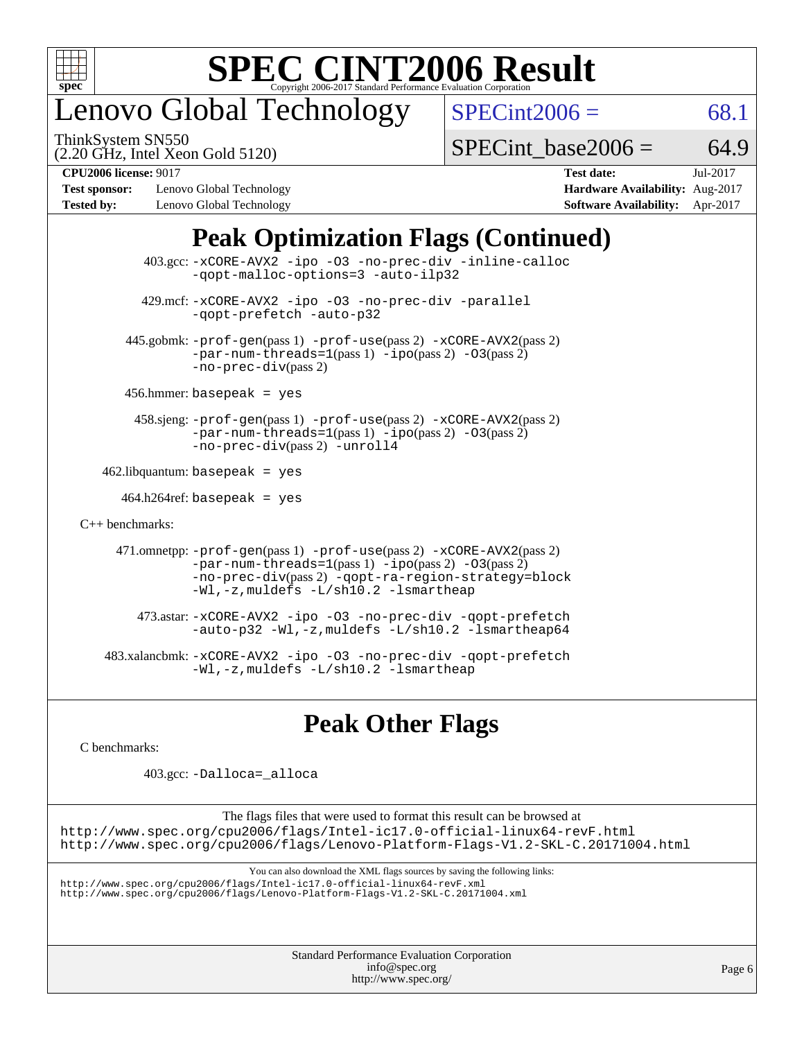

## enovo Global Technology

ThinkSystem SN550

 $SPECint2006 = 68.1$  $SPECint2006 = 68.1$ 

(2.20 GHz, Intel Xeon Gold 5120)

SPECint base2006 =  $64.9$ 

**[Test sponsor:](http://www.spec.org/auto/cpu2006/Docs/result-fields.html#Testsponsor)** Lenovo Global Technology **[Hardware Availability:](http://www.spec.org/auto/cpu2006/Docs/result-fields.html#HardwareAvailability)** Aug-2017 **[Tested by:](http://www.spec.org/auto/cpu2006/Docs/result-fields.html#Testedby)** Lenovo Global Technology **[Software Availability:](http://www.spec.org/auto/cpu2006/Docs/result-fields.html#SoftwareAvailability)** Apr-2017

**[CPU2006 license:](http://www.spec.org/auto/cpu2006/Docs/result-fields.html#CPU2006license)** 9017 **[Test date:](http://www.spec.org/auto/cpu2006/Docs/result-fields.html#Testdate)** Jul-2017

### **[Peak Optimization Flags \(Continued\)](http://www.spec.org/auto/cpu2006/Docs/result-fields.html#PeakOptimizationFlags)**

|                                   | $403.\text{sec}: -x \text{CORE-AVX2}$ -ipo -03 -no-prec-div -inline-calloc<br>-gopt-malloc-options=3 -auto-ilp32                                                                                                                   |  |  |  |  |  |
|-----------------------------------|------------------------------------------------------------------------------------------------------------------------------------------------------------------------------------------------------------------------------------|--|--|--|--|--|
|                                   | 429.mcf: -xCORE-AVX2 -ipo -03 -no-prec-div -parallel<br>-gopt-prefetch -auto-p32                                                                                                                                                   |  |  |  |  |  |
|                                   | 445.gobmk: -prof-gen(pass 1) -prof-use(pass 2) -xCORE-AVX2(pass 2)<br>$-par-num-threads=1(pass 1) -ipo(pass 2) -03(pass 2)$<br>$-no-prec-div(pass 2)$                                                                              |  |  |  |  |  |
| $456.$ hmmer: basepeak = yes      |                                                                                                                                                                                                                                    |  |  |  |  |  |
|                                   | 458.sjeng: -prof-gen(pass 1) -prof-use(pass 2) -xCORE-AVX2(pass 2)<br>$-par-num-threads=1(pass 1) -ipo(pass 2) -03(pass 2)$<br>-no-prec-div(pass 2) -unroll4                                                                       |  |  |  |  |  |
| $462$ .libquantum: basepeak = yes |                                                                                                                                                                                                                                    |  |  |  |  |  |
|                                   | $464.h264 \text{ref}$ : basepeak = yes                                                                                                                                                                                             |  |  |  |  |  |
| $C_{++}$ benchmarks:              |                                                                                                                                                                                                                                    |  |  |  |  |  |
|                                   | 471.omnetpp: -prof-gen(pass 1) -prof-use(pass 2) -xCORE-AVX2(pass 2)<br>$-par-num-threads = 1 (pass 1) - ipo (pass 2) -03 (pass 2)$<br>-no-prec-div(pass 2) -qopt-ra-region-strategy=block<br>-Wl,-z,muldefs -L/sh10.2 -lsmartheap |  |  |  |  |  |
|                                   | 473.astar: -xCORE-AVX2 -ipo -03 -no-prec-div -qopt-prefetch<br>$-$ auto-p32 -Wl,-z, muldefs -L/sh10.2 -lsmartheap64                                                                                                                |  |  |  |  |  |
|                                   | 483.xalancbmk: -xCORE-AVX2 -ipo -03 -no-prec-div -qopt-prefetch<br>$-Wl$ ,-z, muldefs $-L/\nabla L$ .2 -lsmartheap                                                                                                                 |  |  |  |  |  |

### **[Peak Other Flags](http://www.spec.org/auto/cpu2006/Docs/result-fields.html#PeakOtherFlags)**

[C benchmarks](http://www.spec.org/auto/cpu2006/Docs/result-fields.html#Cbenchmarks):

403.gcc: [-Dalloca=\\_alloca](http://www.spec.org/cpu2006/results/res2017q4/cpu2006-20170918-50077.flags.html#b403.gcc_peakEXTRA_CFLAGS_Dalloca_be3056838c12de2578596ca5467af7f3)

The flags files that were used to format this result can be browsed at <http://www.spec.org/cpu2006/flags/Intel-ic17.0-official-linux64-revF.html> <http://www.spec.org/cpu2006/flags/Lenovo-Platform-Flags-V1.2-SKL-C.20171004.html>

You can also download the XML flags sources by saving the following links:

<http://www.spec.org/cpu2006/flags/Intel-ic17.0-official-linux64-revF.xml> <http://www.spec.org/cpu2006/flags/Lenovo-Platform-Flags-V1.2-SKL-C.20171004.xml>